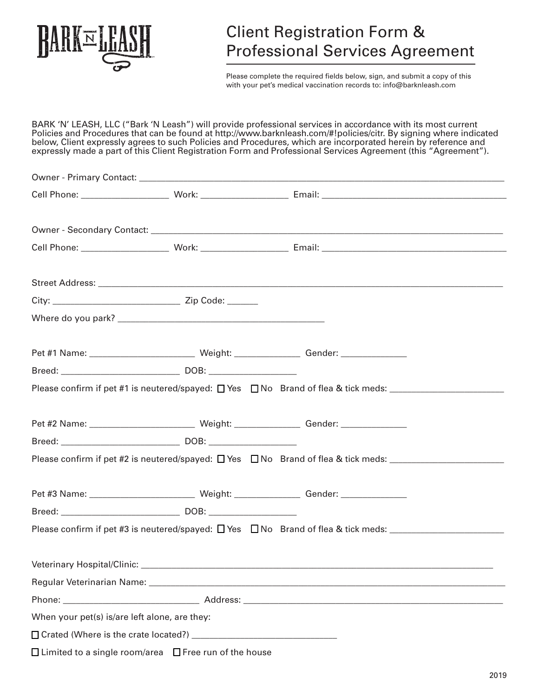

# Client Registration Form & Professional Services Agreement

Please complete the required fields below, sign, and submit a copy of this with your pet's medical vaccination records to: info@barknleash.com

BARK 'N' LEASH, LLC ("Bark 'N Leash") will provide professional services in accordance with its most current Policies and Procedures that can be found at http://www.barknleash.com/#!policies/citr. By signing where indicated below, Client expressly agrees to such Policies and Procedures, which are incorporated herein by reference and expressly made a part of this Client Registration Form and Professional Services Agreement (this "Agreement").

| When your pet(s) is/are left alone, are they:                     |  |  |
|-------------------------------------------------------------------|--|--|
|                                                                   |  |  |
| $\Box$ Limited to a single room/area $\Box$ Free run of the house |  |  |